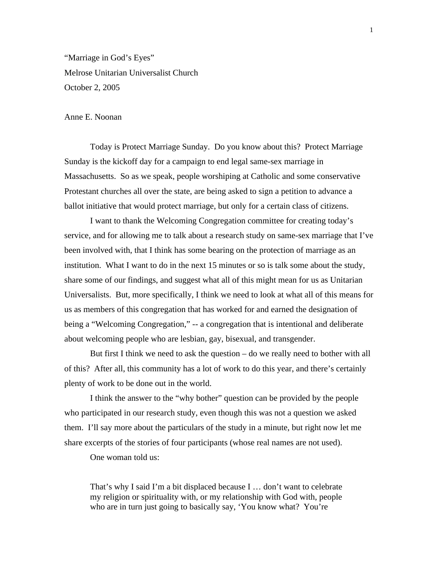"Marriage in God's Eyes" Melrose Unitarian Universalist Church October 2, 2005

## Anne E. Noonan

Today is Protect Marriage Sunday. Do you know about this? Protect Marriage Sunday is the kickoff day for a campaign to end legal same-sex marriage in Massachusetts. So as we speak, people worshiping at Catholic and some conservative Protestant churches all over the state, are being asked to sign a petition to advance a ballot initiative that would protect marriage, but only for a certain class of citizens.

I want to thank the Welcoming Congregation committee for creating today's service, and for allowing me to talk about a research study on same-sex marriage that I've been involved with, that I think has some bearing on the protection of marriage as an institution. What I want to do in the next 15 minutes or so is talk some about the study, share some of our findings, and suggest what all of this might mean for us as Unitarian Universalists. But, more specifically, I think we need to look at what all of this means for us as members of this congregation that has worked for and earned the designation of being a "Welcoming Congregation," -- a congregation that is intentional and deliberate about welcoming people who are lesbian, gay, bisexual, and transgender.

But first I think we need to ask the question – do we really need to bother with all of this? After all, this community has a lot of work to do this year, and there's certainly plenty of work to be done out in the world.

I think the answer to the "why bother" question can be provided by the people who participated in our research study, even though this was not a question we asked them. I'll say more about the particulars of the study in a minute, but right now let me share excerpts of the stories of four participants (whose real names are not used).

One woman told us:

That's why I said I'm a bit displaced because I … don't want to celebrate my religion or spirituality with, or my relationship with God with, people who are in turn just going to basically say, 'You know what? You're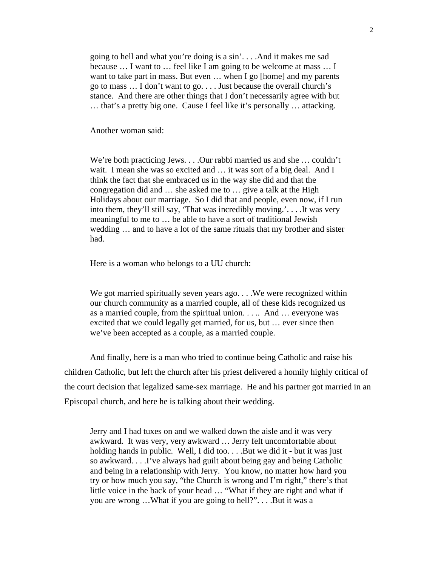going to hell and what you're doing is a sin'. . . .And it makes me sad because … I want to … feel like I am going to be welcome at mass … I want to take part in mass. But even ... when I go [home] and my parents go to mass … I don't want to go. . . . Just because the overall church's stance. And there are other things that I don't necessarily agree with but … that's a pretty big one. Cause I feel like it's personally … attacking.

Another woman said:

We're both practicing Jews. . . .Our rabbi married us and she … couldn't wait. I mean she was so excited and … it was sort of a big deal. And I think the fact that she embraced us in the way she did and that the congregation did and … she asked me to … give a talk at the High Holidays about our marriage. So I did that and people, even now, if I run into them, they'll still say, 'That was incredibly moving.'. . . .It was very meaningful to me to … be able to have a sort of traditional Jewish wedding … and to have a lot of the same rituals that my brother and sister had.

Here is a woman who belongs to a UU church:

We got married spiritually seven years ago. . . . We were recognized within our church community as a married couple, all of these kids recognized us as a married couple, from the spiritual union. . . .. And … everyone was excited that we could legally get married, for us, but … ever since then we've been accepted as a couple, as a married couple.

And finally, here is a man who tried to continue being Catholic and raise his children Catholic, but left the church after his priest delivered a homily highly critical of the court decision that legalized same-sex marriage. He and his partner got married in an Episcopal church, and here he is talking about their wedding.

Jerry and I had tuxes on and we walked down the aisle and it was very awkward. It was very, very awkward … Jerry felt uncomfortable about holding hands in public. Well, I did too... .But we did it - but it was just so awkward. . . .I've always had guilt about being gay and being Catholic and being in a relationship with Jerry. You know, no matter how hard you try or how much you say, "the Church is wrong and I'm right," there's that little voice in the back of your head … "What if they are right and what if you are wrong …What if you are going to hell?". . . .But it was a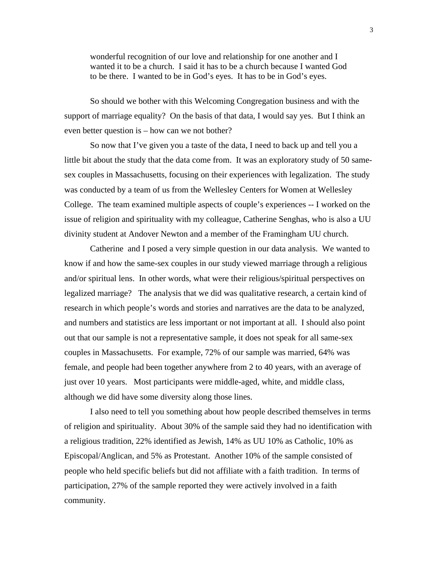wonderful recognition of our love and relationship for one another and I wanted it to be a church. I said it has to be a church because I wanted God to be there. I wanted to be in God's eyes. It has to be in God's eyes.

So should we bother with this Welcoming Congregation business and with the support of marriage equality? On the basis of that data, I would say yes. But I think an even better question is – how can we not bother?

So now that I've given you a taste of the data, I need to back up and tell you a little bit about the study that the data come from. It was an exploratory study of 50 samesex couples in Massachusetts, focusing on their experiences with legalization. The study was conducted by a team of us from the Wellesley Centers for Women at Wellesley College. The team examined multiple aspects of couple's experiences -- I worked on the issue of religion and spirituality with my colleague, Catherine Senghas, who is also a UU divinity student at Andover Newton and a member of the Framingham UU church.

Catherine and I posed a very simple question in our data analysis. We wanted to know if and how the same-sex couples in our study viewed marriage through a religious and/or spiritual lens. In other words, what were their religious/spiritual perspectives on legalized marriage? The analysis that we did was qualitative research, a certain kind of research in which people's words and stories and narratives are the data to be analyzed, and numbers and statistics are less important or not important at all. I should also point out that our sample is not a representative sample, it does not speak for all same-sex couples in Massachusetts. For example, 72% of our sample was married, 64% was female, and people had been together anywhere from 2 to 40 years, with an average of just over 10 years. Most participants were middle-aged, white, and middle class, although we did have some diversity along those lines.

I also need to tell you something about how people described themselves in terms of religion and spirituality. About 30% of the sample said they had no identification with a religious tradition, 22% identified as Jewish, 14% as UU 10% as Catholic, 10% as Episcopal/Anglican, and 5% as Protestant. Another 10% of the sample consisted of people who held specific beliefs but did not affiliate with a faith tradition. In terms of participation, 27% of the sample reported they were actively involved in a faith community.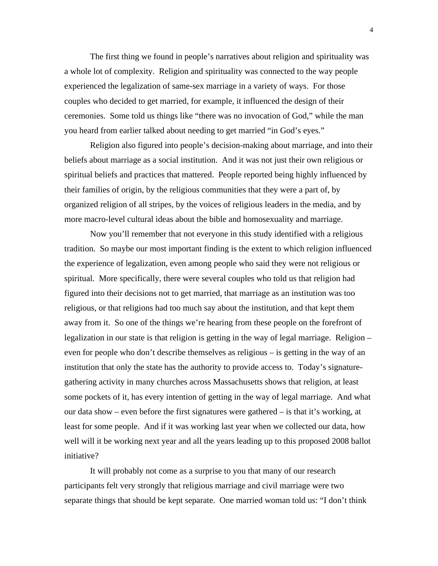The first thing we found in people's narratives about religion and spirituality was a whole lot of complexity. Religion and spirituality was connected to the way people experienced the legalization of same-sex marriage in a variety of ways. For those couples who decided to get married, for example, it influenced the design of their ceremonies. Some told us things like "there was no invocation of God," while the man you heard from earlier talked about needing to get married "in God's eyes."

Religion also figured into people's decision-making about marriage, and into their beliefs about marriage as a social institution. And it was not just their own religious or spiritual beliefs and practices that mattered. People reported being highly influenced by their families of origin, by the religious communities that they were a part of, by organized religion of all stripes, by the voices of religious leaders in the media, and by more macro-level cultural ideas about the bible and homosexuality and marriage.

Now you'll remember that not everyone in this study identified with a religious tradition. So maybe our most important finding is the extent to which religion influenced the experience of legalization, even among people who said they were not religious or spiritual. More specifically, there were several couples who told us that religion had figured into their decisions not to get married, that marriage as an institution was too religious, or that religions had too much say about the institution, and that kept them away from it. So one of the things we're hearing from these people on the forefront of legalization in our state is that religion is getting in the way of legal marriage. Religion – even for people who don't describe themselves as religious – is getting in the way of an institution that only the state has the authority to provide access to. Today's signaturegathering activity in many churches across Massachusetts shows that religion, at least some pockets of it, has every intention of getting in the way of legal marriage. And what our data show – even before the first signatures were gathered – is that it's working, at least for some people. And if it was working last year when we collected our data, how well will it be working next year and all the years leading up to this proposed 2008 ballot initiative?

It will probably not come as a surprise to you that many of our research participants felt very strongly that religious marriage and civil marriage were two separate things that should be kept separate. One married woman told us: "I don't think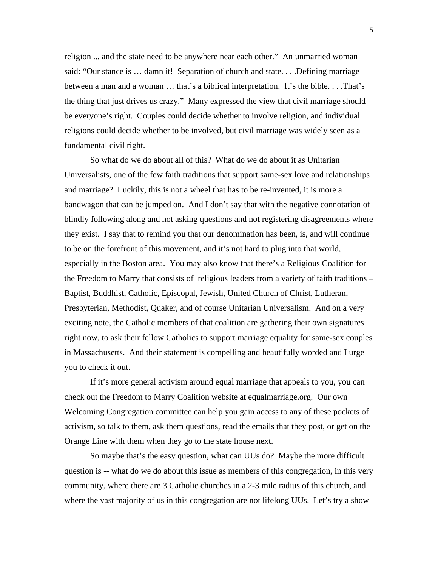religion ... and the state need to be anywhere near each other." An unmarried woman said: "Our stance is ... damn it! Separation of church and state... .Defining marriage between a man and a woman … that's a biblical interpretation. It's the bible. . . .That's the thing that just drives us crazy." Many expressed the view that civil marriage should be everyone's right. Couples could decide whether to involve religion, and individual religions could decide whether to be involved, but civil marriage was widely seen as a fundamental civil right.

So what do we do about all of this? What do we do about it as Unitarian Universalists, one of the few faith traditions that support same-sex love and relationships and marriage? Luckily, this is not a wheel that has to be re-invented, it is more a bandwagon that can be jumped on. And I don't say that with the negative connotation of blindly following along and not asking questions and not registering disagreements where they exist. I say that to remind you that our denomination has been, is, and will continue to be on the forefront of this movement, and it's not hard to plug into that world, especially in the Boston area. You may also know that there's a Religious Coalition for the Freedom to Marry that consists of religious leaders from a variety of faith traditions – Baptist, Buddhist, Catholic, Episcopal, Jewish, United Church of Christ, Lutheran, Presbyterian, Methodist, Quaker, and of course Unitarian Universalism. And on a very exciting note, the Catholic members of that coalition are gathering their own signatures right now, to ask their fellow Catholics to support marriage equality for same-sex couples in Massachusetts. And their statement is compelling and beautifully worded and I urge you to check it out.

If it's more general activism around equal marriage that appeals to you, you can check out the Freedom to Marry Coalition website at equalmarriage.org. Our own Welcoming Congregation committee can help you gain access to any of these pockets of activism, so talk to them, ask them questions, read the emails that they post, or get on the Orange Line with them when they go to the state house next.

So maybe that's the easy question, what can UUs do? Maybe the more difficult question is -- what do we do about this issue as members of this congregation, in this very community, where there are 3 Catholic churches in a 2-3 mile radius of this church, and where the vast majority of us in this congregation are not lifelong UUs. Let's try a show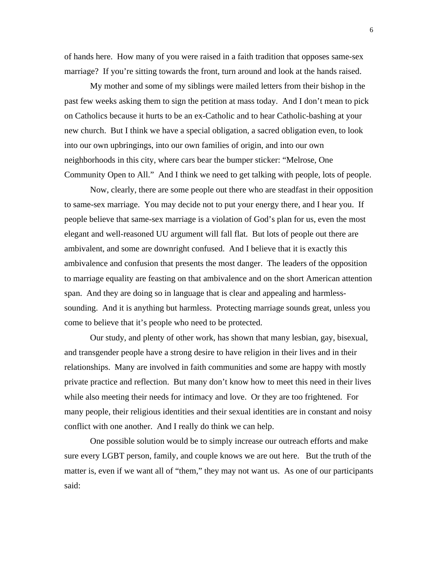of hands here. How many of you were raised in a faith tradition that opposes same-sex marriage? If you're sitting towards the front, turn around and look at the hands raised.

My mother and some of my siblings were mailed letters from their bishop in the past few weeks asking them to sign the petition at mass today. And I don't mean to pick on Catholics because it hurts to be an ex-Catholic and to hear Catholic-bashing at your new church. But I think we have a special obligation, a sacred obligation even, to look into our own upbringings, into our own families of origin, and into our own neighborhoods in this city, where cars bear the bumper sticker: "Melrose, One Community Open to All." And I think we need to get talking with people, lots of people.

Now, clearly, there are some people out there who are steadfast in their opposition to same-sex marriage. You may decide not to put your energy there, and I hear you. If people believe that same-sex marriage is a violation of God's plan for us, even the most elegant and well-reasoned UU argument will fall flat. But lots of people out there are ambivalent, and some are downright confused. And I believe that it is exactly this ambivalence and confusion that presents the most danger. The leaders of the opposition to marriage equality are feasting on that ambivalence and on the short American attention span. And they are doing so in language that is clear and appealing and harmlesssounding. And it is anything but harmless. Protecting marriage sounds great, unless you come to believe that it's people who need to be protected.

Our study, and plenty of other work, has shown that many lesbian, gay, bisexual, and transgender people have a strong desire to have religion in their lives and in their relationships. Many are involved in faith communities and some are happy with mostly private practice and reflection. But many don't know how to meet this need in their lives while also meeting their needs for intimacy and love. Or they are too frightened. For many people, their religious identities and their sexual identities are in constant and noisy conflict with one another. And I really do think we can help.

One possible solution would be to simply increase our outreach efforts and make sure every LGBT person, family, and couple knows we are out here. But the truth of the matter is, even if we want all of "them," they may not want us. As one of our participants said: